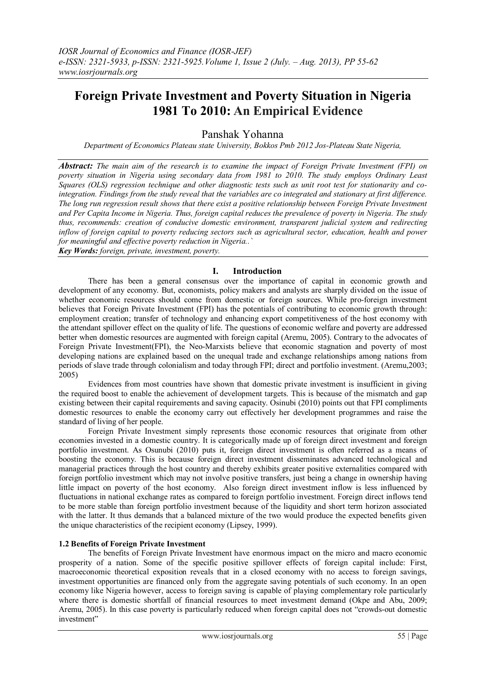# **Foreign Private Investment and Poverty Situation in Nigeria 1981 To 2010: An Empirical Evidence**

## Panshak Yohanna

*Department of Economics Plateau state University, Bokkos Pmb 2012 Jos-Plateau State Nigeria,* 

*Abstract: The main aim of the research is to examine the impact of Foreign Private Investment (FPI) on poverty situation in Nigeria using secondary data from 1981 to 2010. The study employs Ordinary Least Squares (OLS) regression technique and other diagnostic tests such as unit root test for stationarity and cointegration. Findings from the study reveal that the variables are co integrated and stationary at first difference. The long run regression result shows that there exist a positive relationship between Foreign Private Investment and Per Capita Income in Nigeria. Thus, foreign capital reduces the prevalence of poverty in Nigeria. The study thus, recommends: creation of conducive domestic environment, transparent judicial system and redirecting inflow of foreign capital to poverty reducing sectors such as agricultural sector, education, health and power for meaningful and effective poverty reduction in Nigeria..`*

*Key Words: foreign, private, investment, poverty.*

## **I. Introduction**

There has been a general consensus over the importance of capital in economic growth and development of any economy. But, economists, policy makers and analysts are sharply divided on the issue of whether economic resources should come from domestic or foreign sources. While pro-foreign investment believes that Foreign Private Investment (FPI) has the potentials of contributing to economic growth through: employment creation; transfer of technology and enhancing export competitiveness of the host economy with the attendant spillover effect on the quality of life. The questions of economic welfare and poverty are addressed better when domestic resources are augmented with foreign capital (Aremu, 2005). Contrary to the advocates of Foreign Private Investment(FPI), the Neo-Marxists believe that economic stagnation and poverty of most developing nations are explained based on the unequal trade and exchange relationships among nations from periods of slave trade through colonialism and today through FPI; direct and portfolio investment. (Aremu,2003; 2005)

Evidences from most countries have shown that domestic private investment is insufficient in giving the required boost to enable the achievement of development targets. This is because of the mismatch and gap existing between their capital requirements and saving capacity. Osinubi (2010) points out that FPI compliments domestic resources to enable the economy carry out effectively her development programmes and raise the standard of living of her people.

Foreign Private Investment simply represents those economic resources that originate from other economies invested in a domestic country. It is categorically made up of foreign direct investment and foreign portfolio investment. As Osunubi (2010) puts it, foreign direct investment is often referred as a means of boosting the economy. This is because foreign direct investment disseminates advanced technological and managerial practices through the host country and thereby exhibits greater positive externalities compared with foreign portfolio investment which may not involve positive transfers, just being a change in ownership having little impact on poverty of the host economy. Also foreign direct investment inflow is less influenced by fluctuations in national exchange rates as compared to foreign portfolio investment. Foreign direct inflows tend to be more stable than foreign portfolio investment because of the liquidity and short term horizon associated with the latter. It thus demands that a balanced mixture of the two would produce the expected benefits given the unique characteristics of the recipient economy (Lipsey, 1999).

## **1.2 Benefits of Foreign Private Investment**

The benefits of Foreign Private Investment have enormous impact on the micro and macro economic prosperity of a nation. Some of the specific positive spillover effects of foreign capital include: First, macroeconomic theoretical exposition reveals that in a closed economy with no access to foreign savings, investment opportunities are financed only from the aggregate saving potentials of such economy. In an open economy like Nigeria however, access to foreign saving is capable of playing complementary role particularly where there is domestic shortfall of financial resources to meet investment demand (Okpe and Abu, 2009; Aremu, 2005). In this case poverty is particularly reduced when foreign capital does not "crowds-out domestic investment"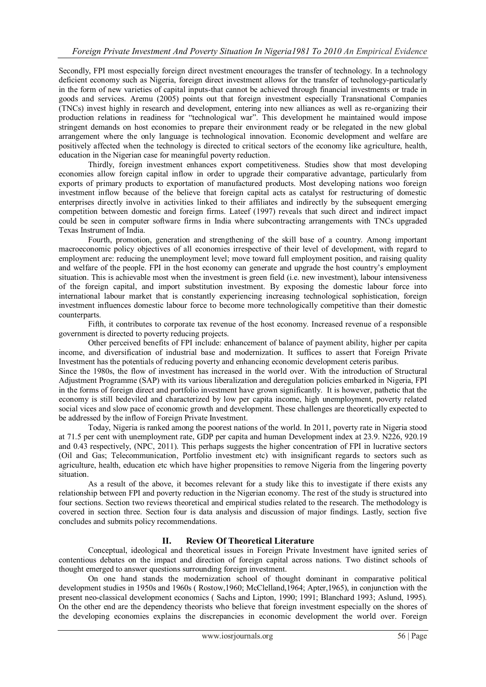Secondly, FPI most especially foreign direct nvestment encourages the transfer of technology. In a technology deficient economy such as Nigeria, foreign direct investment allows for the transfer of technology-particularly in the form of new varieties of capital inputs-that cannot be achieved through financial investments or trade in goods and services. Aremu (2005) points out that foreign investment especially Transnational Companies (TNCs) invest highly in research and development, entering into new alliances as well as re-organizing their production relations in readiness for "technological war". This development he maintained would impose stringent demands on host economies to prepare their environment ready or be relegated in the new global arrangement where the only language is technological innovation. Economic development and welfare are positively affected when the technology is directed to critical sectors of the economy like agriculture, health, education in the Nigerian case for meaningful poverty reduction.

Thirdly, foreign investment enhances export competitiveness. Studies show that most developing economies allow foreign capital inflow in order to upgrade their comparative advantage, particularly from exports of primary products to exportation of manufactured products. Most developing nations woo foreign investment inflow because of the believe that foreign capital acts as catalyst for restructuring of domestic enterprises directly involve in activities linked to their affiliates and indirectly by the subsequent emerging competition between domestic and foreign firms. Lateef (1997) reveals that such direct and indirect impact could be seen in computer software firms in India where subcontracting arrangements with TNCs upgraded Texas Instrument of India.

Fourth, promotion, generation and strengthening of the skill base of a country. Among important macroeconomic policy objectives of all economies irrespective of their level of development, with regard to employment are: reducing the unemployment level; move toward full employment position, and raising quality and welfare of the people. FPI in the host economy can generate and upgrade the host country"s employment situation. This is achievable most when the investment is green field (i.e. new investment), labour intensiveness of the foreign capital, and import substitution investment. By exposing the domestic labour force into international labour market that is constantly experiencing increasing technological sophistication, foreign investment influences domestic labour force to become more technologically competitive than their domestic counterparts.

Fifth, it contributes to corporate tax revenue of the host economy. Increased revenue of a responsible government is directed to poverty reducing projects.

Other perceived benefits of FPI include: enhancement of balance of payment ability, higher per capita income, and diversification of industrial base and modernization. It suffices to assert that Foreign Private Investment has the potentials of reducing poverty and enhancing economic development ceteris paribus.

Since the 1980s, the flow of investment has increased in the world over. With the introduction of Structural Adjustment Programme (SAP) with its various liberalization and deregulation policies embarked in Nigeria, FPI in the forms of foreign direct and portfolio investment have grown significantly. It is however, pathetic that the economy is still bedeviled and characterized by low per capita income, high unemployment, poverty related social vices and slow pace of economic growth and development. These challenges are theoretically expected to be addressed by the inflow of Foreign Private Investment.

Today, Nigeria is ranked among the poorest nations of the world. In 2011, poverty rate in Nigeria stood at 71.5 per cent with unemployment rate, GDP per capita and human Development index at 23.9. N226, 920.19 and 0.43 respectively, (NPC, 2011). This perhaps suggests the higher concentration of FPI in lucrative sectors (Oil and Gas; Telecommunication, Portfolio investment etc) with insignificant regards to sectors such as agriculture, health, education etc which have higher propensities to remove Nigeria from the lingering poverty situation.

As a result of the above, it becomes relevant for a study like this to investigate if there exists any relationship between FPI and poverty reduction in the Nigerian economy. The rest of the study is structured into four sections. Section two reviews theoretical and empirical studies related to the research. The methodology is covered in section three. Section four is data analysis and discussion of major findings. Lastly, section five concludes and submits policy recommendations.

## **II. Review Of Theoretical Literature**

Conceptual, ideological and theoretical issues in Foreign Private Investment have ignited series of contentious debates on the impact and direction of foreign capital across nations. Two distinct schools of thought emerged to answer questions surrounding foreign investment.

On one hand stands the modernization school of thought dominant in comparative political development studies in 1950s and 1960s ( Rostow,1960; McClelland,1964; Apter,1965), in conjunction with the present neo-classical development economics ( Sachs and Lipton, 1990; 1991; Blanchard 1993; Aslund, 1995). On the other end are the dependency theorists who believe that foreign investment especially on the shores of the developing economies explains the discrepancies in economic development the world over. Foreign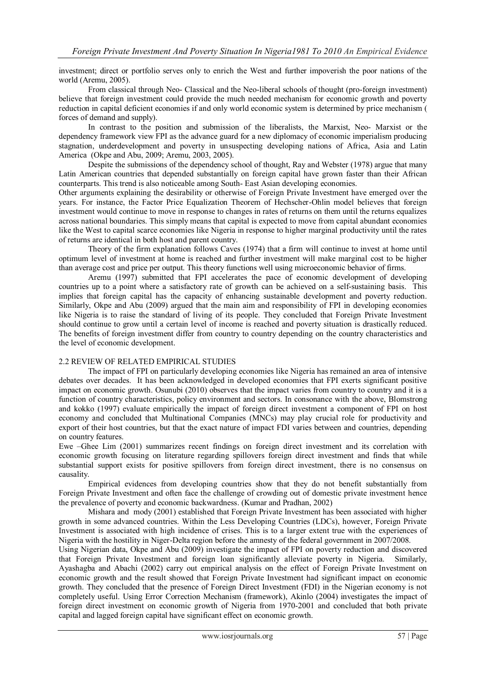investment; direct or portfolio serves only to enrich the West and further impoverish the poor nations of the world (Aremu, 2005).

From classical through Neo- Classical and the Neo-liberal schools of thought (pro-foreign investment) believe that foreign investment could provide the much needed mechanism for economic growth and poverty reduction in capital deficient economies if and only world economic system is determined by price mechanism ( forces of demand and supply).

In contrast to the position and submission of the liberalists, the Marxist, Neo- Marxist or the dependency framework view FPI as the advance guard for a new diplomacy of economic imperialism producing stagnation, underdevelopment and poverty in unsuspecting developing nations of Africa, Asia and Latin America (Okpe and Abu, 2009; Aremu, 2003, 2005).

Despite the submissions of the dependency school of thought, Ray and Webster (1978) argue that many Latin American countries that depended substantially on foreign capital have grown faster than their African counterparts. This trend is also noticeable among South- East Asian developing economies.

Other arguments explaining the desirability or otherwise of Foreign Private Investment have emerged over the years. For instance, the Factor Price Equalization Theorem of Hechscher-Ohlin model believes that foreign investment would continue to move in response to changes in rates of returns on them until the returns equalizes across national boundaries. This simply means that capital is expected to move from capital abundant economies like the West to capital scarce economies like Nigeria in response to higher marginal productivity until the rates of returns are identical in both host and parent country.

Theory of the firm explanation follows Caves (1974) that a firm will continue to invest at home until optimum level of investment at home is reached and further investment will make marginal cost to be higher than average cost and price per output. This theory functions well using microeconomic behavior of firms.

Aremu (1997) submitted that FPI accelerates the pace of economic development of developing countries up to a point where a satisfactory rate of growth can be achieved on a self-sustaining basis. This implies that foreign capital has the capacity of enhancing sustainable development and poverty reduction. Similarly, Okpe and Abu (2009) argued that the main aim and responsibility of FPI in developing economies like Nigeria is to raise the standard of living of its people. They concluded that Foreign Private Investment should continue to grow until a certain level of income is reached and poverty situation is drastically reduced. The benefits of foreign investment differ from country to country depending on the country characteristics and the level of economic development.

### 2.2 REVIEW OF RELATED EMPIRICAL STUDIES

The impact of FPI on particularly developing economies like Nigeria has remained an area of intensive debates over decades. It has been acknowledged in developed economies that FPI exerts significant positive impact on economic growth. Osunubi (2010) observes that the impact varies from country to country and it is a function of country characteristics, policy environment and sectors. In consonance with the above, Blomstrong and kokko (1997) evaluate empirically the impact of foreign direct investment a component of FPI on host economy and concluded that Multinational Companies (MNCs) may play crucial role for productivity and export of their host countries, but that the exact nature of impact FDI varies between and countries, depending on country features.

Ewe –Ghee Lim (2001) summarizes recent findings on foreign direct investment and its correlation with economic growth focusing on literature regarding spillovers foreign direct investment and finds that while substantial support exists for positive spillovers from foreign direct investment, there is no consensus on causality.

Empirical evidences from developing countries show that they do not benefit substantially from Foreign Private Investment and often face the challenge of crowding out of domestic private investment hence the prevalence of poverty and economic backwardness. (Kumar and Pradhan, 2002)

Mishara and mody (2001) established that Foreign Private Investment has been associated with higher growth in some advanced countries. Within the Less Developing Countries (LDCs), however, Foreign Private Investment is associated with high incidence of crises. This is to a larger extent true with the experiences of Nigeria with the hostility in Niger-Delta region before the amnesty of the federal government in 2007/2008.

Using Nigerian data, Okpe and Abu (2009) investigate the impact of FPI on poverty reduction and discovered that Foreign Private Investment and foreign loan significantly alleviate poverty in Nigeria. Similarly, Ayashagba and Abachi (2002) carry out empirical analysis on the effect of Foreign Private Investment on economic growth and the result showed that Foreign Private Investment had significant impact on economic growth. They concluded that the presence of Foreign Direct Investment (FDI) in the Nigerian economy is not completely useful. Using Error Correction Mechanism (framework), Akinlo (2004) investigates the impact of foreign direct investment on economic growth of Nigeria from 1970-2001 and concluded that both private capital and lagged foreign capital have significant effect on economic growth.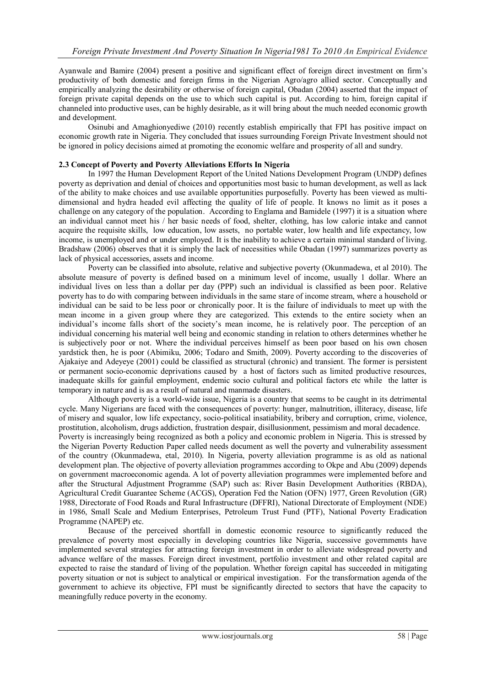Ayanwale and Bamire (2004) present a positive and significant effect of foreign direct investment on firm"s productivity of both domestic and foreign firms in the Nigerian Agro/agro allied sector. Conceptually and empirically analyzing the desirability or otherwise of foreign capital, Obadan (2004) asserted that the impact of foreign private capital depends on the use to which such capital is put. According to him, foreign capital if channeled into productive uses, can be highly desirable, as it will bring about the much needed economic growth and development.

Osinubi and Amaghionyediwe (2010) recently establish empirically that FPI has positive impact on economic growth rate in Nigeria. They concluded that issues surrounding Foreign Private Investment should not be ignored in policy decisions aimed at promoting the economic welfare and prosperity of all and sundry.

## **2.3 Concept of Poverty and Poverty Alleviations Efforts In Nigeria**

In 1997 the Human Development Report of the United Nations Development Program (UNDP) defines poverty as deprivation and denial of choices and opportunities most basic to human development, as well as lack of the ability to make choices and use available opportunities purposefully. Poverty has been viewed as multidimensional and hydra headed evil affecting the quality of life of people. It knows no limit as it poses a challenge on any category of the population. According to Englama and Bamidele (1997) it is a situation where an individual cannot meet his / her basic needs of food, shelter, clothing, has low calorie intake and cannot acquire the requisite skills, low education, low assets, no portable water, low health and life expectancy, low income, is unemployed and or under employed. It is the inability to achieve a certain minimal standard of living. Bradshaw (2006) observes that it is simply the lack of necessities while Obadan (1997) summarizes poverty as lack of physical accessories, assets and income.

Poverty can be classified into absolute, relative and subjective poverty (Okunmadewa, et al 2010). The absolute measure of poverty is defined based on a minimum level of income, usually 1 dollar. Where an individual lives on less than a dollar per day (PPP) such an individual is classified as been poor. Relative poverty has to do with comparing between individuals in the same stare of income stream, where a household or individual can be said to be less poor or chronically poor. It is the failure of individuals to meet up with the mean income in a given group where they are categorized. This extends to the entire society when an individual"s income falls short of the society"s mean income, he is relatively poor. The perception of an individual concerning his material well being and economic standing in relation to others determines whether he is subjectively poor or not. Where the individual perceives himself as been poor based on his own chosen yardstick then, he is poor (Abimiku, 2006; Todaro and Smith, 2009). Poverty according to the discoveries of Ajakaiye and Adeyeye (2001) could be classified as structural (chronic) and transient. The former is persistent or permanent socio-economic deprivations caused by a host of factors such as limited productive resources, inadequate skills for gainful employment, endemic socio cultural and political factors etc while the latter is temporary in nature and is as a result of natural and manmade disasters.

Although poverty is a world-wide issue, Nigeria is a country that seems to be caught in its detrimental cycle. Many Nigerians are faced with the consequences of poverty: hunger, malnutrition, illiteracy, disease, life of misery and squalor, low life expectancy, socio-political insatiability, bribery and corruption, crime, violence, prostitution, alcoholism, drugs addiction, frustration despair, disillusionment, pessimism and moral decadence. Poverty is increasingly being recognized as both a policy and economic problem in Nigeria. This is stressed by the Nigerian Poverty Reduction Paper called needs document as well the poverty and vulnerability assessment of the country (Okunmadewa, etal, 2010). In Nigeria, poverty alleviation programme is as old as national development plan. The objective of poverty alleviation programmes according to Okpe and Abu (2009) depends on government macroeconomic agenda. A lot of poverty alleviation programmes were implemented before and after the Structural Adjustment Programme (SAP) such as: River Basin Development Authorities (RBDA), Agricultural Credit Guarantee Scheme (ACGS), Operation Fed the Nation (OFN) 1977, Green Revolution (GR) 1988, Directorate of Food Roads and Rural Infrastructure (DFFRI), National Directorate of Employment (NDE) in 1986, Small Scale and Medium Enterprises, Petroleum Trust Fund (PTF), National Poverty Eradication Programme (NAPEP) etc.

Because of the perceived shortfall in domestic economic resource to significantly reduced the prevalence of poverty most especially in developing countries like Nigeria, successive governments have implemented several strategies for attracting foreign investment in order to alleviate widespread poverty and advance welfare of the masses. Foreign direct investment, portfolio investment and other related capital are expected to raise the standard of living of the population. Whether foreign capital has succeeded in mitigating poverty situation or not is subject to analytical or empirical investigation. For the transformation agenda of the government to achieve its objective, FPI must be significantly directed to sectors that have the capacity to meaningfully reduce poverty in the economy.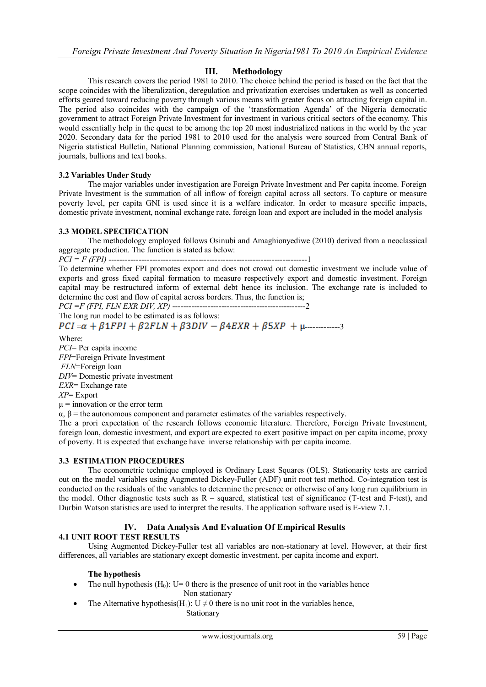## **III. Methodology**

This research covers the period 1981 to 2010. The choice behind the period is based on the fact that the scope coincides with the liberalization, deregulation and privatization exercises undertaken as well as concerted efforts geared toward reducing poverty through various means with greater focus on attracting foreign capital in. The period also coincides with the campaign of the "transformation Agenda" of the Nigeria democratic government to attract Foreign Private Investment for investment in various critical sectors of the economy. This would essentially help in the quest to be among the top 20 most industrialized nations in the world by the year 2020. Secondary data for the period 1981 to 2010 used for the analysis were sourced from Central Bank of Nigeria statistical Bulletin, National Planning commission, National Bureau of Statistics, CBN annual reports, journals, bullions and text books.

## **3.2 Variables Under Study**

The major variables under investigation are Foreign Private Investment and Per capita income. Foreign Private Investment is the summation of all inflow of foreign capital across all sectors. To capture or measure poverty level, per capita GNI is used since it is a welfare indicator. In order to measure specific impacts, domestic private investment, nominal exchange rate, foreign loan and export are included in the model analysis

## **3.3 MODEL SPECIFICATION**

The methodology employed follows Osinubi and Amaghionyediwe (2010) derived from a neoclassical aggregate production. The function is stated as below:

*PCI = F (FPI)* -------------------------------------------------------------------------1

To determine whether FPI promotes export and does not crowd out domestic investment we include value of exports and gross fixed capital formation to measure respectively export and domestic investment. Foreign capital may be restructured inform of external debt hence its inclusion. The exchange rate is included to determine the cost and flow of capital across borders. Thus, the function is;

*PCI =F (FPI, FLN EXR DIV, XP)* -------------------------------------------------2

The long run model to be estimated is as follows:

 $PCI = \alpha + \beta 1 FPI + \beta 2 FLN + \beta 3 DIV - \beta 4 EXR + \beta 5 XP + \mu$ 

Where:

*PCI*= Per capita income *FPI*=Foreign Private Investment *FLN*=Foreign loan *DIV*= Domestic private investment *EXR*= Exchange rate *XP*= Export  $\mu$  = innovation or the error term  $\alpha$ ,  $\beta$  = the autonomous component and parameter estimates of the variables respectively.

The a prori expectation of the research follows economic literature. Therefore, Foreign Private Investment, foreign loan, domestic investment, and export are expected to exert positive impact on per capita income, proxy of poverty. It is expected that exchange have inverse relationship with per capita income.

### **3.3 ESTIMATION PROCEDURES**

The econometric technique employed is Ordinary Least Squares (OLS). Stationarity tests are carried out on the model variables using Augmented Dickey-Fuller (ADF) unit root test method. Co-integration test is conducted on the residuals of the variables to determine the presence or otherwise of any long run equilibrium in the model. Other diagnostic tests such as  $R -$  squared, statistical test of significance (T-test and F-test), and Durbin Watson statistics are used to interpret the results. The application software used is E-view 7.1.

## **IV. Data Analysis And Evaluation Of Empirical Results 4.1 UNIT ROOT TEST RESULTS**

Using Augmented Dickey-Fuller test all variables are non-stationary at level. However, at their first differences, all variables are stationary except domestic investment, per capita income and export.

## **The hypothesis**

• The null hypothesis  $(H_0)$ : U= 0 there is the presence of unit root in the variables hence

Non stationary

• The Alternative hypothesis(H<sub>1</sub>):  $U \neq 0$  there is no unit root in the variables hence,

Stationary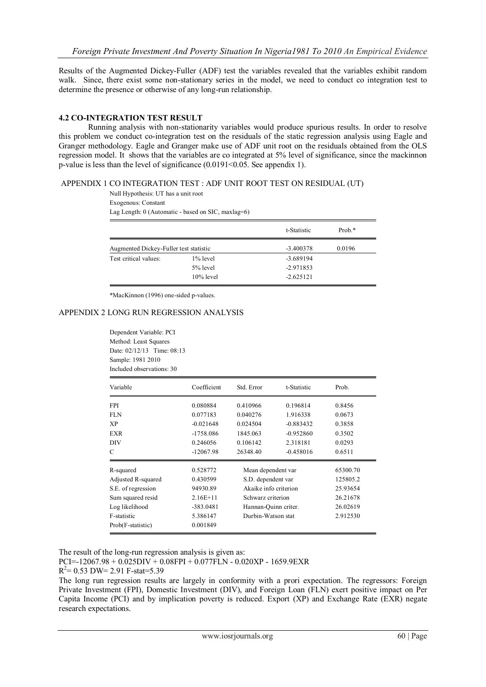Results of the Augmented Dickey-Fuller (ADF) test the variables revealed that the variables exhibit random walk. Since, there exist some non-stationary series in the model, we need to conduct co integration test to determine the presence or otherwise of any long-run relationship.

## **4.2 CO-INTEGRATION TEST RESULT**

Running analysis with non-stationarity variables would produce spurious results. In order to resolve this problem we conduct co-integration test on the residuals of the static regression analysis using Eagle and Granger methodology. Eagle and Granger make use of ADF unit root on the residuals obtained from the OLS regression model. It shows that the variables are co integrated at 5% level of significance, since the mackinnon p-value is less than the level of significance (0.0191<0.05. See appendix 1).

### APPENDIX 1 CO INTEGRATION TEST : ADF UNIT ROOT TEST ON RESIDUAL (UT)

Null Hypothesis: UT has a unit root Exogenous: Constant Lag Length: 0 (Automatic - based on SIC, maxlag=6)

|                                        |              | t-Statistic | Prob.* |
|----------------------------------------|--------------|-------------|--------|
| Augmented Dickey-Fuller test statistic |              | $-3.400378$ | 0.0196 |
| Test critical values:                  | 1% level     | $-3.689194$ |        |
|                                        | 5% level     | $-2.971853$ |        |
|                                        | $10\%$ level | $-2.625121$ |        |

\*MacKinnon (1996) one-sided p-values.

### APPENDIX 2 LONG RUN REGRESSION ANALYSIS

Dependent Variable: PCI Method: Least Squares Date: 02/12/13 Time: 08:13 Sample: 1981 2010 Included observations: 30

| Variable           | Coefficient | Std. Error                               | t-Statistic | Prob.    |
|--------------------|-------------|------------------------------------------|-------------|----------|
| <b>FPI</b>         | 0.080884    | 0.410966                                 | 0.196814    | 0.8456   |
| <b>FLN</b>         | 0.077183    | 0.040276                                 | 1.916338    | 0.0673   |
| XP                 | $-0.021648$ | 0.024504                                 | $-0.883432$ | 0.3858   |
| <b>EXR</b>         | $-1758.086$ | 1845.063                                 | $-0.952860$ | 0.3502   |
| DIV                | 0.246056    | 0.106142                                 | 2.318181    | 0.0293   |
| C                  | $-12067.98$ | 26348.40                                 | $-0.458016$ | 0.6511   |
| R-squared          | 0.528772    | Mean dependent var<br>S.D. dependent var |             | 65300.70 |
| Adjusted R-squared | 0.430599    |                                          |             | 125805.2 |
| S.E. of regression | 94930.89    | Akaike info criterion                    |             | 25.93654 |
| Sum squared resid  | $2.16E+11$  | Schwarz criterion                        |             | 26.21678 |
| Log likelihood     | $-383.0481$ | Hannan-Quinn criter.                     |             | 26.02619 |
| F-statistic        | 5.386147    | Durbin-Watson stat                       |             | 2.912530 |
| Prob(F-statistic)  | 0.001849    |                                          |             |          |

The result of the long-run regression analysis is given as:

PCI=-12067.98 + 0.025DIV + 0.08FPI + 0.077FLN - 0.020XP - 1659.9EXR

 $R^2$  = 0.53 DW = 2.91 F-stat = 5.39

The long run regression results are largely in conformity with a prori expectation. The regressors: Foreign Private Investment (FPI), Domestic Investment (DIV), and Foreign Loan (FLN) exert positive impact on Per Capita Income (PCI) and by implication poverty is reduced. Export (XP) and Exchange Rate (EXR) negate research expectations.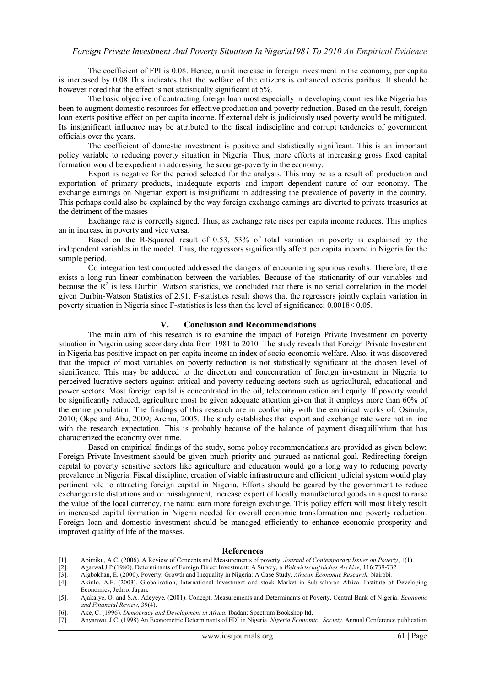The coefficient of FPI is 0.08. Hence, a unit increase in foreign investment in the economy, per capita is increased by 0.08.This indicates that the welfare of the citizens is enhanced ceteris paribus. It should be however noted that the effect is not statistically significant at 5%.

The basic objective of contracting foreign loan most especially in developing countries like Nigeria has been to augment domestic resources for effective production and poverty reduction. Based on the result, foreign loan exerts positive effect on per capita income. If external debt is judiciously used poverty would be mitigated. Its insignificant influence may be attributed to the fiscal indiscipline and corrupt tendencies of government officials over the years.

The coefficient of domestic investment is positive and statistically significant. This is an important policy variable to reducing poverty situation in Nigeria. Thus, more efforts at increasing gross fixed capital formation would be expedient in addressing the scourge-poverty in the economy.

Export is negative for the period selected for the analysis. This may be as a result of: production and exportation of primary products, inadequate exports and import dependent nature of our economy. The exchange earnings on Nigerian export is insignificant in addressing the prevalence of poverty in the country. This perhaps could also be explained by the way foreign exchange earnings are diverted to private treasuries at the detriment of the masses

Exchange rate is correctly signed. Thus, as exchange rate rises per capita income reduces. This implies an in increase in poverty and vice versa.

Based on the R-Squared result of 0.53, 53% of total variation in poverty is explained by the independent variables in the model. Thus, the regressors significantly affect per capita income in Nigeria for the sample period.

Co integration test conducted addressed the dangers of encountering spurious results. Therefore, there exists a long run linear combination between the variables. Because of the stationarity of our variables and because the  $R^2$  is less Durbin–Watson statistics, we concluded that there is no serial correlation in the model given Durbin-Watson Statistics of 2.91. F-statistics result shows that the regressors jointly explain variation in poverty situation in Nigeria since F-statistics is less than the level of significance; 0.0018< 0.05.

#### **V. Conclusion and Recommendations**

The main aim of this research is to examine the impact of Foreign Private Investment on poverty situation in Nigeria using secondary data from 1981 to 2010. The study reveals that Foreign Private Investment in Nigeria has positive impact on per capita income an index of socio-economic welfare. Also, it was discovered that the impact of most variables on poverty reduction is not statistically significant at the chosen level of significance. This may be adduced to the direction and concentration of foreign investment in Nigeria to perceived lucrative sectors against critical and poverty reducing sectors such as agricultural, educational and power sectors. Most foreign capital is concentrated in the oil, telecommunication and equity. If poverty would be significantly reduced, agriculture most be given adequate attention given that it employs more than 60% of the entire population. The findings of this research are in conformity with the empirical works of: Osinubi, 2010; Okpe and Abu, 2009; Aremu, 2005. The study establishes that export and exchange rate were not in line with the research expectation. This is probably because of the balance of payment disequilibrium that has characterized the economy over time.

Based on empirical findings of the study, some policy recommendations are provided as given below; Foreign Private Investment should be given much priority and pursued as national goal. Redirecting foreign capital to poverty sensitive sectors like agriculture and education would go a long way to reducing poverty prevalence in Nigeria. Fiscal discipline, creation of viable infrastructure and efficient judicial system would play pertinent role to attracting foreign capital in Nigeria. Efforts should be geared by the government to reduce exchange rate distortions and or misalignment, increase export of locally manufactured goods in a quest to raise the value of the local currency, the naira; earn more foreign exchange. This policy effort will most likely result in increased capital formation in Nigeria needed for overall economic transformation and poverty reduction. Foreign loan and domestic investment should be managed efficiently to enhance economic prosperity and improved quality of life of the masses.

#### **References**

- [1]. Abimiku, A.C. (2006). A Review of Concepts and Measurements of poverty*. Journal of Contemporary Issues on Poverty*, 1(1).
- [2]. Agarwal,J.P (1980). Determinants of Foreign Direct Investment: A Survey, a *Weltwirtschafsliches Archive,* 116:739-732
- [3]. Aigbokhan, E. (2000). Poverty, Growth and Inequality in Nigeria: A Case Study. *African Economic Research.* Nairobi.
- [4]. Akinlo, A.E. (2003). Globalisation, International Investment and stock Market in Sub-saharan Africa. Institute of Developing Economics, Jethro, Japan.
- [5]. Ajakaiye, O. and S.A. Adeyeye. (2001). Concept, Measurements and Determinants of Poverty. Central Bank of Nigeria. *Economic and Financial Review,* 39(4).
- [6]. Ake, C. (1996). *Democracy and Development in Africa.* Ibadan: Spectrum Bookshop ltd.
- [7]. Anyanwu, J.C. (1998) An Econometric Determinants of FDI in Nigeria. *Nigeria Economic Society,* Annual Conference publication